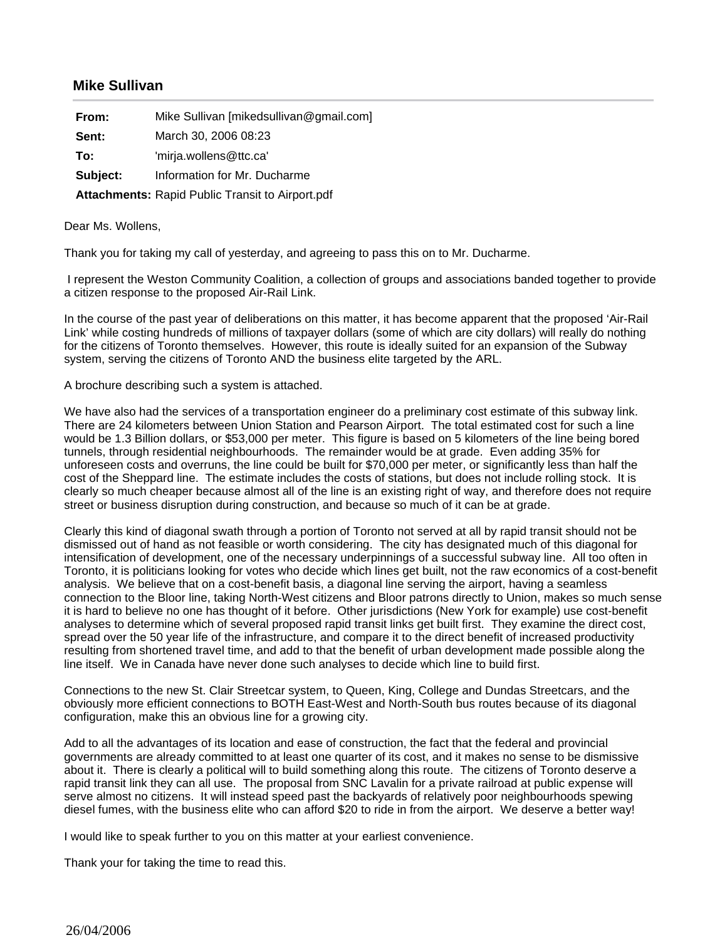## **Mike Sullivan**

| From:    | Mike Sullivan [mikedsullivan@gmail.com]                 |
|----------|---------------------------------------------------------|
| Sent:    | March 30, 2006 08:23                                    |
| To:      | 'mirja.wollens@ttc.ca'                                  |
| Subject: | Information for Mr. Ducharme                            |
|          | <b>Attachments: Rapid Public Transit to Airport.pdf</b> |

## Dear Ms. Wollens,

Thank you for taking my call of yesterday, and agreeing to pass this on to Mr. Ducharme.

 I represent the Weston Community Coalition, a collection of groups and associations banded together to provide a citizen response to the proposed Air-Rail Link.

In the course of the past year of deliberations on this matter, it has become apparent that the proposed 'Air-Rail Link' while costing hundreds of millions of taxpayer dollars (some of which are city dollars) will really do nothing for the citizens of Toronto themselves. However, this route is ideally suited for an expansion of the Subway system, serving the citizens of Toronto AND the business elite targeted by the ARL.

## A brochure describing such a system is attached.

We have also had the services of a transportation engineer do a preliminary cost estimate of this subway link. There are 24 kilometers between Union Station and Pearson Airport. The total estimated cost for such a line would be 1.3 Billion dollars, or \$53,000 per meter. This figure is based on 5 kilometers of the line being bored tunnels, through residential neighbourhoods. The remainder would be at grade. Even adding 35% for unforeseen costs and overruns, the line could be built for \$70,000 per meter, or significantly less than half the cost of the Sheppard line. The estimate includes the costs of stations, but does not include rolling stock. It is clearly so much cheaper because almost all of the line is an existing right of way, and therefore does not require street or business disruption during construction, and because so much of it can be at grade.

Clearly this kind of diagonal swath through a portion of Toronto not served at all by rapid transit should not be dismissed out of hand as not feasible or worth considering. The city has designated much of this diagonal for intensification of development, one of the necessary underpinnings of a successful subway line. All too often in Toronto, it is politicians looking for votes who decide which lines get built, not the raw economics of a cost-benefit analysis. We believe that on a cost-benefit basis, a diagonal line serving the airport, having a seamless connection to the Bloor line, taking North-West citizens and Bloor patrons directly to Union, makes so much sense it is hard to believe no one has thought of it before. Other jurisdictions (New York for example) use cost-benefit analyses to determine which of several proposed rapid transit links get built first. They examine the direct cost, spread over the 50 year life of the infrastructure, and compare it to the direct benefit of increased productivity resulting from shortened travel time, and add to that the benefit of urban development made possible along the line itself. We in Canada have never done such analyses to decide which line to build first.

Connections to the new St. Clair Streetcar system, to Queen, King, College and Dundas Streetcars, and the obviously more efficient connections to BOTH East-West and North-South bus routes because of its diagonal configuration, make this an obvious line for a growing city.

Add to all the advantages of its location and ease of construction, the fact that the federal and provincial governments are already committed to at least one quarter of its cost, and it makes no sense to be dismissive about it. There is clearly a political will to build something along this route. The citizens of Toronto deserve a rapid transit link they can all use. The proposal from SNC Lavalin for a private railroad at public expense will serve almost no citizens. It will instead speed past the backyards of relatively poor neighbourhoods spewing diesel fumes, with the business elite who can afford \$20 to ride in from the airport. We deserve a better way!

I would like to speak further to you on this matter at your earliest convenience.

Thank your for taking the time to read this.